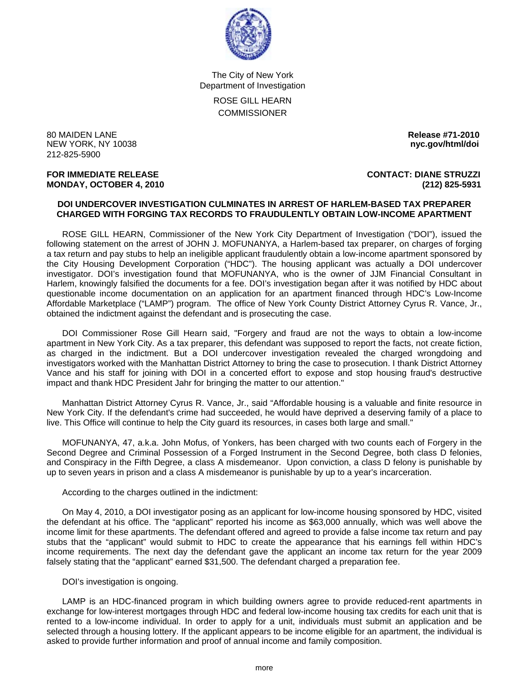

The City of New York Department of Investigation ROSE GILL HEARN **COMMISSIONER** 

80 MAIDEN LANE **Release #71-2010 NEW YORK, NY 10038** 212-825-5900

## **MONDAY, OCTOBER 4, 2010 (212) 825-5931**

## **FOR IMMEDIATE RELEASE CONTACT: DIANE STRUZZI**

## **DOI UNDERCOVER INVESTIGATION CULMINATES IN ARREST OF HARLEM-BASED TAX PREPARER CHARGED WITH FORGING TAX RECORDS TO FRAUDULENTLY OBTAIN LOW-INCOME APARTMENT**

 ROSE GILL HEARN, Commissioner of the New York City Department of Investigation ("DOI"), issued the following statement on the arrest of JOHN J. MOFUNANYA, a Harlem-based tax preparer, on charges of forging a tax return and pay stubs to help an ineligible applicant fraudulently obtain a low-income apartment sponsored by the City Housing Development Corporation ("HDC"). The housing applicant was actually a DOI undercover investigator. DOI's investigation found that MOFUNANYA, who is the owner of JJM Financial Consultant in Harlem, knowingly falsified the documents for a fee. DOI's investigation began after it was notified by HDC about questionable income documentation on an application for an apartment financed through HDC's Low-Income Affordable Marketplace ("LAMP") program. The office of New York County District Attorney Cyrus R. Vance, Jr., obtained the indictment against the defendant and is prosecuting the case.

 DOI Commissioner Rose Gill Hearn said, "Forgery and fraud are not the ways to obtain a low-income apartment in New York City. As a tax preparer, this defendant was supposed to report the facts, not create fiction, as charged in the indictment. But a DOI undercover investigation revealed the charged wrongdoing and investigators worked with the Manhattan District Attorney to bring the case to prosecution. I thank District Attorney Vance and his staff for joining with DOI in a concerted effort to expose and stop housing fraud's destructive impact and thank HDC President Jahr for bringing the matter to our attention."

 Manhattan District Attorney Cyrus R. Vance, Jr., said "Affordable housing is a valuable and finite resource in New York City. If the defendant's crime had succeeded, he would have deprived a deserving family of a place to live. This Office will continue to help the City guard its resources, in cases both large and small."

 MOFUNANYA, 47, a.k.a. John Mofus, of Yonkers, has been charged with two counts each of Forgery in the Second Degree and Criminal Possession of a Forged Instrument in the Second Degree, both class D felonies, and Conspiracy in the Fifth Degree, a class A misdemeanor. Upon conviction, a class D felony is punishable by up to seven years in prison and a class A misdemeanor is punishable by up to a year's incarceration.

According to the charges outlined in the indictment:

 On May 4, 2010, a DOI investigator posing as an applicant for low-income housing sponsored by HDC, visited the defendant at his office. The "applicant" reported his income as \$63,000 annually, which was well above the income limit for these apartments. The defendant offered and agreed to provide a false income tax return and pay stubs that the "applicant" would submit to HDC to create the appearance that his earnings fell within HDC's income requirements. The next day the defendant gave the applicant an income tax return for the year 2009 falsely stating that the "applicant" earned \$31,500. The defendant charged a preparation fee.

## DOI's investigation is ongoing.

 LAMP is an HDC-financed program in which building owners agree to provide reduced-rent apartments in exchange for low-interest mortgages through HDC and federal low-income housing tax credits for each unit that is rented to a low-income individual. In order to apply for a unit, individuals must submit an application and be selected through a housing lottery. If the applicant appears to be income eligible for an apartment, the individual is asked to provide further information and proof of annual income and family composition.